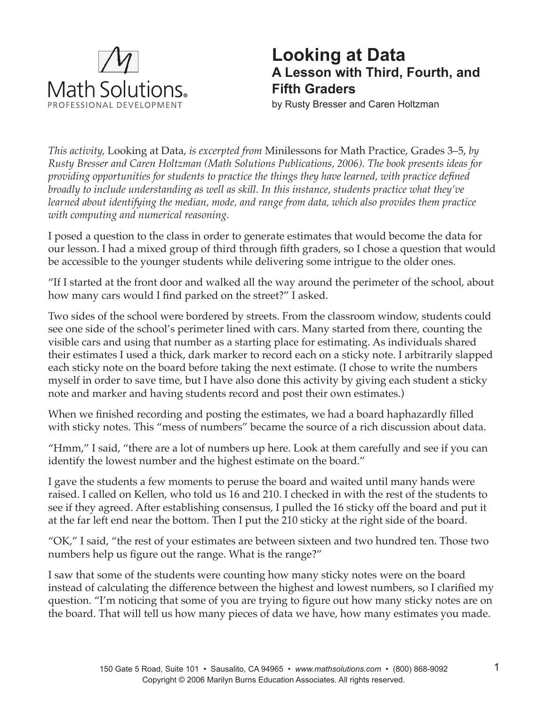

## **Looking at Data A Lesson with Third, Fourth, and Fifth Graders**

by Rusty Bresser and Caren Holtzman

*This activity,* Looking at Data, *is excerpted from* Minilessons for Math Practice, Grades 3–5, *by Rusty Bresser and Caren Holtzman (Math Solutions Publications, 2006). The book presents ideas for providing opportunities for students to practice the things they have learned, with practice defined broadly to include understanding as well as skill. In this instance, students practice what they've learned about identifying the median, mode, and range from data, which also provides them practice with computing and numerical reasoning.* 

I posed a question to the class in order to generate estimates that would become the data for our lesson. I had a mixed group of third through fifth graders, so I chose a question that would be accessible to the younger students while delivering some intrigue to the older ones.

"If I started at the front door and walked all the way around the perimeter of the school, about how many cars would I find parked on the street?" I asked.

Two sides of the school were bordered by streets. From the classroom window, students could see one side of the school's perimeter lined with cars. Many started from there, counting the visible cars and using that number as a starting place for estimating. As individuals shared their estimates I used a thick, dark marker to record each on a sticky note. I arbitrarily slapped each sticky note on the board before taking the next estimate. (I chose to write the numbers myself in order to save time, but I have also done this activity by giving each student a sticky note and marker and having students record and post their own estimates.)

When we finished recording and posting the estimates, we had a board haphazardly filled with sticky notes. This "mess of numbers" became the source of a rich discussion about data.

"Hmm," I said, "there are a lot of numbers up here. Look at them carefully and see if you can identify the lowest number and the highest estimate on the board."

I gave the students a few moments to peruse the board and waited until many hands were raised. I called on Kellen, who told us 16 and 210. I checked in with the rest of the students to see if they agreed. After establishing consensus, I pulled the 16 sticky off the board and put it at the far left end near the bottom. Then I put the 210 sticky at the right side of the board.

"OK," I said, "the rest of your estimates are between sixteen and two hundred ten. Those two numbers help us figure out the range. What is the range?"

I saw that some of the students were counting how many sticky notes were on the board instead of calculating the difference between the highest and lowest numbers, so I clarified my question. "I'm noticing that some of you are trying to figure out how many sticky notes are on the board. That will tell us how many pieces of data we have, how many estimates you made.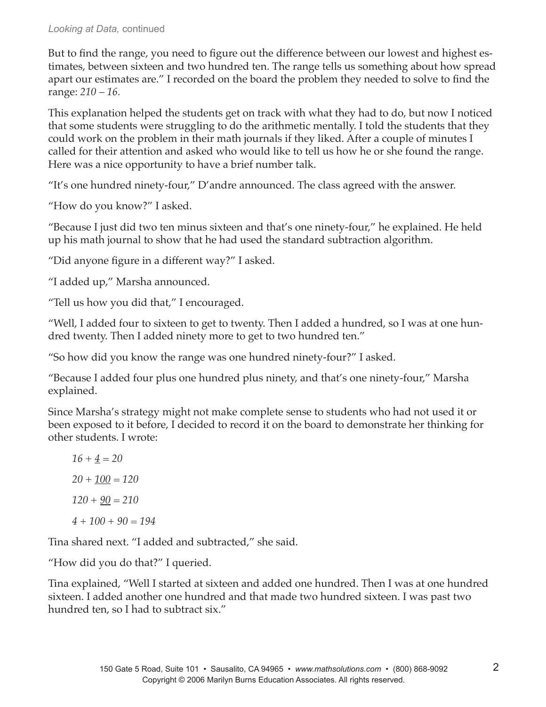## *Looking at Data,* continued

But to find the range, you need to figure out the difference between our lowest and highest estimates, between sixteen and two hundred ten. The range tells us something about how spread apart our estimates are." I recorded on the board the problem they needed to solve to find the range: *210 – 16.*

This explanation helped the students get on track with what they had to do, but now I noticed that some students were struggling to do the arithmetic mentally. I told the students that they could work on the problem in their math journals if they liked. After a couple of minutes I called for their attention and asked who would like to tell us how he or she found the range. Here was a nice opportunity to have a brief number talk.

"It's one hundred ninety-four," D'andre announced. The class agreed with the answer.

"How do you know?" I asked.

"Because I just did two ten minus sixteen and that's one ninety-four," he explained. He held up his math journal to show that he had used the standard subtraction algorithm.

"Did anyone figure in a different way?" I asked.

"I added up," Marsha announced.

"Tell us how you did that," I encouraged.

"Well, I added four to sixteen to get to twenty. Then I added a hundred, so I was at one hundred twenty. Then I added ninety more to get to two hundred ten."

"So how did you know the range was one hundred ninety-four?" I asked.

"Because I added four plus one hundred plus ninety, and that's one ninety-four," Marsha explained.

Since Marsha's strategy might not make complete sense to students who had not used it or been exposed to it before, I decided to record it on the board to demonstrate her thinking for other students. I wrote:

*16 + 4 = 20 20 + 100 = 120 120 + 90 = 210 4 + 100 + 90 = 194* 

Tina shared next. "I added and subtracted," she said.

"How did you do that?" I queried.

Tina explained, "Well I started at sixteen and added one hundred. Then I was at one hundred sixteen. I added another one hundred and that made two hundred sixteen. I was past two hundred ten, so I had to subtract six."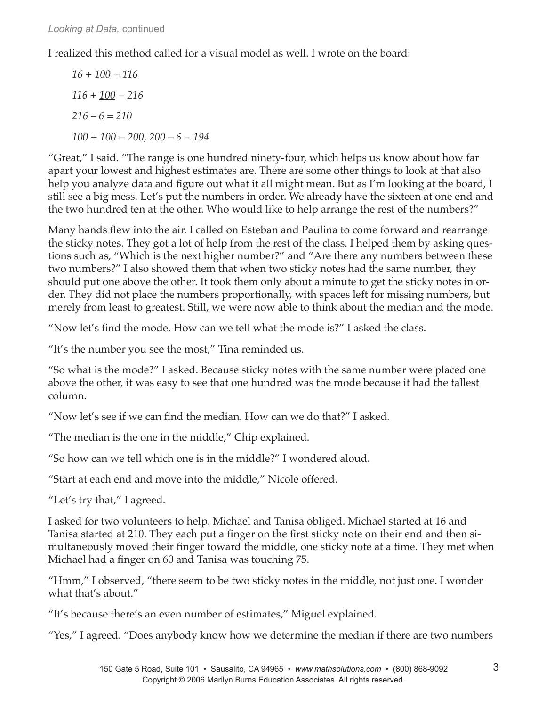I realized this method called for a visual model as well. I wrote on the board:

*16 + 100 = 116 116 + 100 = 216 216 – 6 = 210 100 + 100 = 200, 200 – 6 = 194*

"Great," I said. "The range is one hundred ninety-four, which helps us know about how far apart your lowest and highest estimates are. There are some other things to look at that also help you analyze data and figure out what it all might mean. But as I'm looking at the board, I still see a big mess. Let's put the numbers in order. We already have the sixteen at one end and the two hundred ten at the other. Who would like to help arrange the rest of the numbers?"

Many hands flew into the air. I called on Esteban and Paulina to come forward and rearrange the sticky notes. They got a lot of help from the rest of the class. I helped them by asking questions such as, "Which is the next higher number?" and "Are there any numbers between these two numbers?" I also showed them that when two sticky notes had the same number, they should put one above the other. It took them only about a minute to get the sticky notes in order. They did not place the numbers proportionally, with spaces left for missing numbers, but merely from least to greatest. Still, we were now able to think about the median and the mode.

"Now let's find the mode. How can we tell what the mode is?" I asked the class.

"It's the number you see the most," Tina reminded us.

"So what is the mode?" I asked. Because sticky notes with the same number were placed one above the other, it was easy to see that one hundred was the mode because it had the tallest column.

"Now let's see if we can find the median. How can we do that?" I asked.

"The median is the one in the middle," Chip explained.

"So how can we tell which one is in the middle?" I wondered aloud.

"Start at each end and move into the middle," Nicole offered.

"Let's try that," I agreed.

I asked for two volunteers to help. Michael and Tanisa obliged. Michael started at 16 and Tanisa started at 210. They each put a finger on the first sticky note on their end and then simultaneously moved their finger toward the middle, one sticky note at a time. They met when Michael had a finger on 60 and Tanisa was touching 75.

"Hmm," I observed, "there seem to be two sticky notes in the middle, not just one. I wonder what that's about."

"It's because there's an even number of estimates," Miguel explained.

"Yes," I agreed. "Does anybody know how we determine the median if there are two numbers